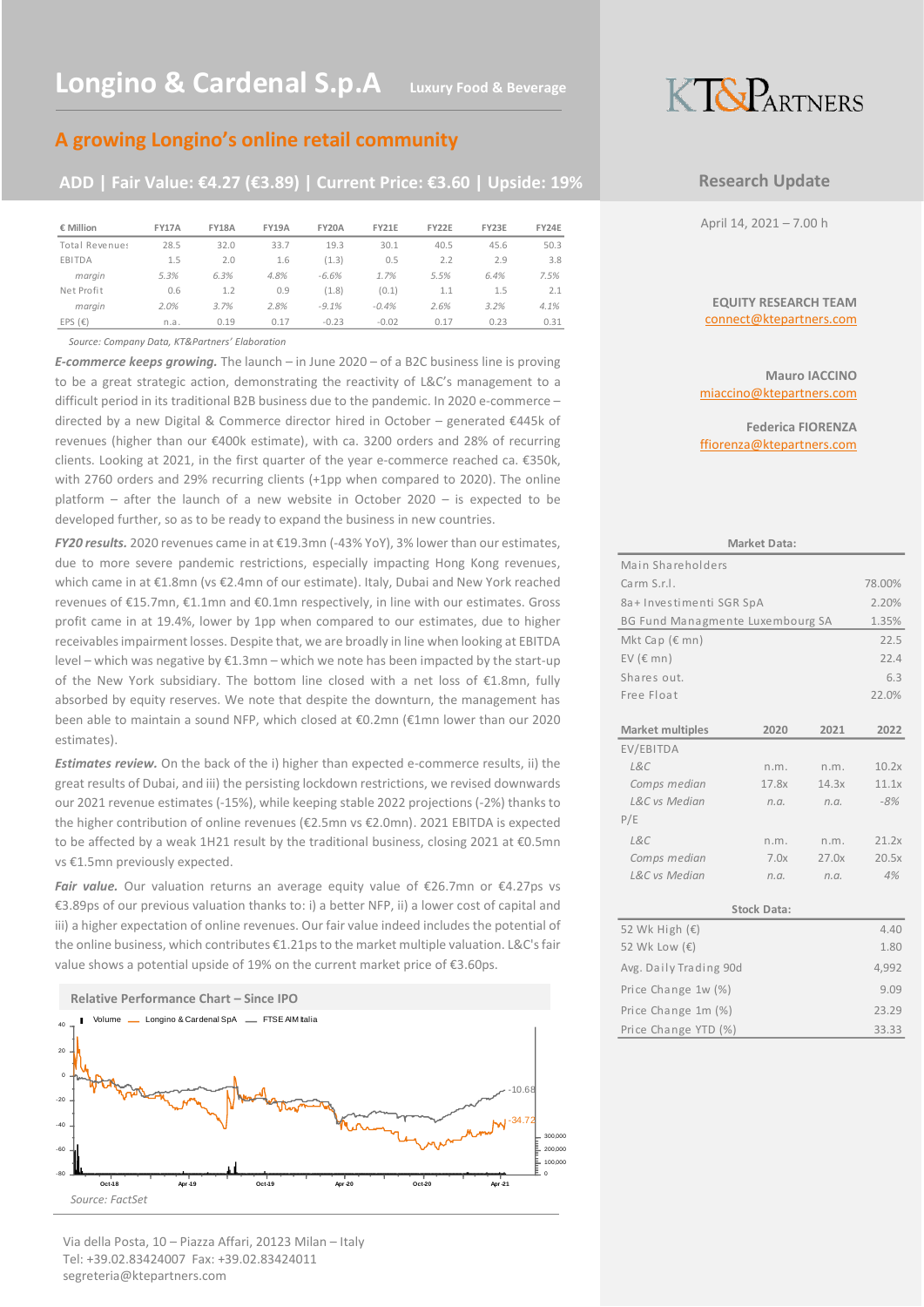## **A growing Longino's online retail community**

## **ADD | Fair Value: €4.27 (€3.89) | Current Price: €3.60 | Upside: 19%**

| € Million        | <b>FY17A</b> | <b>FY18A</b> | <b>FY19A</b> | <b>FY20A</b> | <b>FY21E</b> | FY22E | FY23E | FY24E |
|------------------|--------------|--------------|--------------|--------------|--------------|-------|-------|-------|
| Total Revenues   | 28.5         | 32.0         | 33.7         | 19.3         | 30.1         | 40.5  | 45.6  | 50.3  |
| EBITDA           | 1.5          | 2.0          | 1.6          | (1.3)        | 0.5          | 2.2   | 2.9   | 3.8   |
| margin           | 5.3%         | 6.3%         | 4.8%         | $-6.6%$      | 1.7%         | 5.5%  | 6.4%  | 7.5%  |
| Net Profit       | 0.6          | 1.2          | 0.9          | (1.8)        | (0.1)        | 1.1   | 1.5   | 2.1   |
| marain           | 2.0%         | 3.7%         | 2.8%         | $-9.1%$      | $-0.4%$      | 2.6%  | 3.2%  | 4.1%  |
| EPS $(\epsilon)$ | n.a.         | 0.19         | 0.17         | $-0.23$      | $-0.02$      | 0.17  | 0.23  | 0.31  |

*Source: Company Data, KT&Partners' Elaboration*

*E-commerce keeps growing.* The launch – in June 2020 – of a B2C business line is proving to be a great strategic action, demonstrating the reactivity of L&C's management to a difficult period in its traditional B2B business due to the pandemic. In 2020 e-commerce – directed by a new Digital & Commerce director hired in October – generated €445k of revenues (higher than our €400k estimate), with ca. 3200 orders and 28% of recurring clients. Looking at 2021, in the first quarter of the year e-commerce reached ca. €350k, with 2760 orders and 29% recurring clients (+1pp when compared to 2020). The online platform – after the launch of a new website in October 2020 – is expected to be developed further, so as to be ready to expand the business in new countries.

*FY20 results.* 2020 revenues came in at €19.3mn (-43% YoY), 3% lower than our estimates, due to more severe pandemic restrictions, especially impacting Hong Kong revenues, which came in at €1.8mn (vs €2.4mn of our estimate). Italy, Dubai and New York reached revenues of €15.7mn, €1.1mn and €0.1mn respectively, in line with our estimates. Gross profit came in at 19.4%, lower by 1pp when compared to our estimates, due to higher receivables impairment losses. Despite that, we are broadly in line when looking at EBITDA level – which was negative by  $E1.3$ mn – which we note has been impacted by the start-up of the New York subsidiary. The bottom line closed with a net loss of €1.8mn, fully absorbed by equity reserves. We note that despite the downturn, the management has been able to maintain a sound NFP, which closed at €0.2mn (€1mn lower than our 2020 estimates).

*Estimates review.* On the back of the i) higher than expected e-commerce results, ii) the great results of Dubai, and iii) the persisting lockdown restrictions, we revised downwards our 2021 revenue estimates (-15%), while keeping stable 2022 projections (-2%) thanks to the higher contribution of online revenues (€2.5mn vs €2.0mn). 2021 EBITDA is expected to be affected by a weak 1H21 result by the traditional business, closing 2021 at  $\epsilon$ 0.5mn vs €1.5mn previously expected.

*Fair value.* Our valuation returns an average equity value of €26.7mn or €4.27ps vs €3.89ps of our previous valuation thanks to: i) a better NFP, ii) a lower cost of capital and iii) a higher expectation of online revenues. Our fair value indeed includes the potential of the online business, which contributes €1.21ps to the market multiple valuation. L&C's fair value shows a potential upside of 19% on the current market price of €3.60ps.



#### Via della Posta, 10 – Piazza Affari, 20123 Milan – Italy Tel: +39.02.83424007 Fax: +39.02.83424011 segreteria@ktepartners.com



### **Research Update**

April 14, 2021 – 7.00 h

#### **EQUITY RESEARCH TEAM** connect@ktepartners.com

**Mauro IACCINO** miaccino@ktepartners.com

**Federica FIORENZA** ffiorenza@ktepartners.com

|                                  | Market Data:       |       |        |
|----------------------------------|--------------------|-------|--------|
| Main Shareholders                |                    |       |        |
| Carm S.r.I.                      |                    |       | 78.00% |
| 8a+ Investimenti SGR SpA         |                    |       | 2.20%  |
| BG Fund Managmente Luxembourg SA |                    |       | 1.35%  |
| Mkt Cap $(\epsilon$ mn)          |                    |       | 22.5   |
| EV $(\epsilon$ mn)               |                    |       | 22.4   |
| Shares out.                      |                    |       | 6.3    |
| Free Float                       |                    |       | 22.0%  |
|                                  |                    |       |        |
| <b>Market multiples</b>          | 2020               | 2021  | 2022   |
| EV/EBITDA                        |                    |       |        |
| LRC                              | n.m.               | n.m.  | 10.2x  |
| Comps median                     | 17.8x              | 14.3x | 11.1x  |
| L&C vs Median                    | n.a.               | n.a.  | $-8%$  |
| P/E                              |                    |       |        |
| LRC                              | n.m.               | n.m.  | 21.2x  |
| Comps median                     | 7.0x               | 27.0x | 20.5x  |
| L&C vs Median                    | n.a.               | n.a.  | 4%     |
|                                  |                    |       |        |
|                                  | <b>Stock Data:</b> |       |        |
| 52 Wk High $(\epsilon)$          |                    |       | 4.40   |
| 52 Wk Low (€)                    |                    |       | 1.80   |
| Avg. Daily Trading 90d           |                    |       | 4,992  |
| Price Change 1w (%)              |                    |       | 9.09   |
| Price Change 1m (%)              |                    |       | 23.29  |
| Price Change YTD (%)             |                    |       | 33.33  |
|                                  |                    |       |        |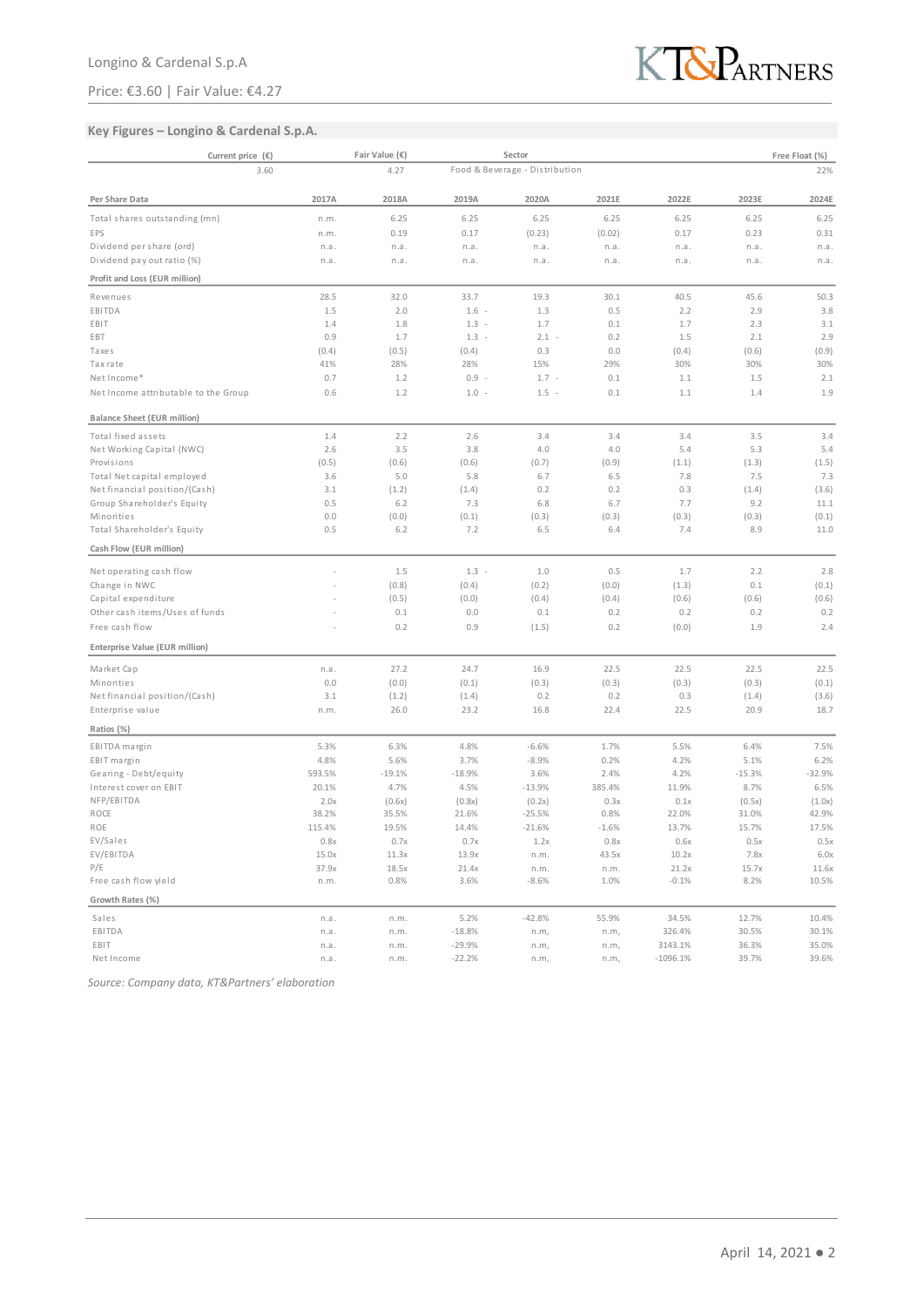### Price: €3.60 | Fair Value: €4.27



### **Key Figures – Longino & Cardenal S.p.A.**

| Current price $(\epsilon)$           |        | Fair Value (€) |          | Sector                         |         |            |          | Free Float (%) |
|--------------------------------------|--------|----------------|----------|--------------------------------|---------|------------|----------|----------------|
| 3.60                                 |        | 4.27           |          | Food & Beverage - Distribution |         |            |          | 22%            |
| Per Share Data                       | 2017A  | 2018A          | 2019A    | 2020A                          | 2021E   | 2022E      | 2023E    | 2024E          |
| Total shares outstanding (mn)        | n.m.   | 6.25           | 6.25     | 6.25                           | 6.25    | 6.25       | 6.25     | 6.25           |
| EPS                                  | n.m.   | 0.19           | 0.17     | (0.23)                         | (0.02)  | 0.17       | 0.23     | 0.31           |
| Dividend per share (ord)             | n.a.   | n.a.           | n.a.     | n.a.                           | n.a.    | n.a.       | n.a.     | n.a.           |
| Dividend pay out ratio (%)           | n.a.   | n.a.           | n.a.     | n.a.                           | n.a.    | n.a.       | n.a.     | n.a.           |
| Profit and Loss (EUR million)        |        |                |          |                                |         |            |          |                |
| Revenues                             | 28.5   | 32.0           | 33.7     | 19.3                           | 30.1    | 40.5       | 45.6     | 50.3           |
| EBITDA                               | 1.5    | 2.0            | $1.6 -$  | 1.3                            | 0.5     | 2.2        | 2.9      | 3.8            |
| EBIT                                 | 1.4    | 1.8            | $1.3 -$  | 1.7                            | 0.1     | 1.7        | 2.3      | 3.1            |
| EBT                                  | 0.9    | 1.7            | $1.3 -$  | $2.1 -$                        | 0.2     | 1.5        | 2.1      | 2.9            |
| Taxes                                | (0.4)  | (0.5)          | (0.4)    | 0.3                            | 0.0     | (0.4)      | (0.6)    | (0.9)          |
| Tax rate                             | 41%    | 28%            | 28%      | 15%                            | 29%     | 30%        | 30%      | 30%            |
| Net Income*                          | 0.7    | 1.2            | $0.9 -$  | $1.7 -$                        | 0.1     | 1.1        | 1.5      | 2.1            |
| Net Income attributable to the Group | 0.6    | 1.2            | $1.0 -$  | $1.5 -$                        | 0.1     | 1.1        | 1.4      | 1.9            |
| <b>Balance Sheet (EUR million)</b>   |        |                |          |                                |         |            |          |                |
| Total fixed assets                   | 1.4    | 2.2            | 2.6      | 3.4                            | 3.4     | 3.4        | 3.5      | 3.4            |
| Net Working Capital (NWC)            | 2.6    | 3.5            | 3.8      | 4.0                            | 4.0     | 5.4        | 5.3      | 5.4            |
| Provisions                           | (0.5)  | (0.6)          | (0.6)    | (0.7)                          | (0.9)   | (1.1)      | (1.3)    | (1.5)          |
| Total Net capital employed           | 3.6    | 5.0            | 5.8      | 6.7                            | 6.5     | 7.8        | 7.5      | 7.3            |
| Net financial position/(Cash)        | 3.1    | (1.2)          | (1.4)    | 0.2                            | 0.2     | 0.3        | (1.4)    | (3.6)          |
| Group Shareholder's Equity           | 0.5    | 6.2            | 7.3      | 6.8                            | 6.7     | 7.7        | 9.2      | 11.1           |
| Minorities                           | 0.0    | (0.0)          | (0.1)    | (0.3)                          | (0.3)   | (0.3)      | (0.3)    | (0.1)          |
| Total Shareholder's Equity           | 0.5    | 6.2            | 7.2      | 6.5                            | 6.4     | 7.4        | 8.9      | 11.0           |
| Cash Flow (EUR million)              |        |                |          |                                |         |            |          |                |
| Net operating cash flow              |        | 1.5            | $1.3 -$  | 1.0                            | 0.5     | 1.7        | 2.2      | 2.8            |
| Change in NWC                        |        | (0.8)          | (0.4)    | (0.2)                          | (0.0)   | (1.3)      | 0.1      | (0.1)          |
| Capital expenditure                  |        | (0.5)          | (0.0)    | (0.4)                          | (0.4)   | (0.6)      | (0.6)    | (0.6)          |
| Other cash items/Uses of funds       |        | 0.1            | 0.0      | 0.1                            | 0.2     | 0.2        | 0.2      | 0.2            |
| Free cash flow                       |        | 0.2            | 0.9      | (1.5)                          | 0.2     | (0.0)      | 1.9      | 2.4            |
| Enterprise Value (EUR million)       |        |                |          |                                |         |            |          |                |
| Market Cap                           | n.a.   | 27.2           | 24.7     | 16.9                           | 22.5    | 22.5       | 22.5     | 22.5           |
| Minorities                           | 0.0    | (0.0)          | (0.1)    | (0.3)                          | (0.3)   | (0.3)      | (0.3)    | (0.1)          |
| Net financial position/(Cash)        | 3.1    | (1.2)          | (1.4)    | 0.2                            | 0.2     | 0.3        | (1.4)    | (3.6)          |
| Enterprise value                     | n.m.   | 26.0           | 23.2     | 16.8                           | 22.4    | 22.5       | 20.9     | 18.7           |
| Ratios (%)                           |        |                |          |                                |         |            |          |                |
| EBITDA margin                        | 5.3%   | 6.3%           | 4.8%     | $-6.6%$                        | 1.7%    | 5.5%       | 6.4%     | 7.5%           |
| EBIT margin                          | 4.8%   | 5.6%           | 3.7%     | $-8.9%$                        | 0.2%    | 4.2%       | 5.1%     | 6.2%           |
| Gearing - Debt/equity                | 593.5% | $-19.1%$       | $-18.9%$ | 3.6%                           | 2.4%    | 4.2%       | $-15.3%$ | $-32.9%$       |
| Interest cover on EBIT               | 20.1%  | 4.7%           | 4.5%     | $-13.9%$                       | 385.4%  | 11.9%      | 8.7%     | 6.5%           |
| NFP/EBITDA                           | 2.0x   | (0.6x)         | (0.8x)   | (0.2x)                         | 0.3x    | 0.1x       | (0.5x)   | (1.0x)         |
| ROCE                                 | 38.2%  | 35.5%          | 21.6%    | $-25.5%$                       | 0.8%    | 22.0%      | 31.0%    | 42.9%          |
| ROE                                  | 115.4% | 19.5%          | 14.4%    | $-21.6%$                       | $-1.6%$ | 13.7%      | 15.7%    | 17.5%          |
| EV/Sales                             | 0.8x   | 0.7x           | 0.7x     | 1.2x                           | 0.8x    | 0.6x       | 0.5x     | 0.5x           |
| EV/EBITDA                            | 15.0x  | 11.3x          | 13.9x    | n.m.                           | 43.5x   | 10.2x      | 7.8x     | 6.0x           |
| P/E                                  | 37.9x  | 18.5x          | 21.4x    | n.m.                           | n.m.    | 21.2x      | 15.7x    | 11.6x          |
| Free cash flow yield                 | n.m.   | 0.8%           | 3.6%     | $-8.6%$                        | 1.0%    | $-0.1%$    | 8.2%     | 10.5%          |
| Growth Rates (%)                     |        |                |          |                                |         |            |          |                |
| Sales                                | n.a.   | n.m.           | 5.2%     | $-42.8%$                       | 55.9%   | 34.5%      | 12.7%    | 10.4%          |
| EBITDA                               | n.a.   | n.m.           | $-18.8%$ | n.m,                           | n.m,    | 326.4%     | 30.5%    | 30.1%          |
| EBIT                                 | n.a.   | n.m.           | $-29.9%$ | n.m,                           | n.m,    | 3143.1%    | 36.3%    | 35.0%          |
| Net Income                           | n.a.   | n.m.           | $-22.2%$ | n.m,                           | n.m,    | $-1096.1%$ | 39.7%    | 39.6%          |

*Source: Company data, KT&Partners' elaboration*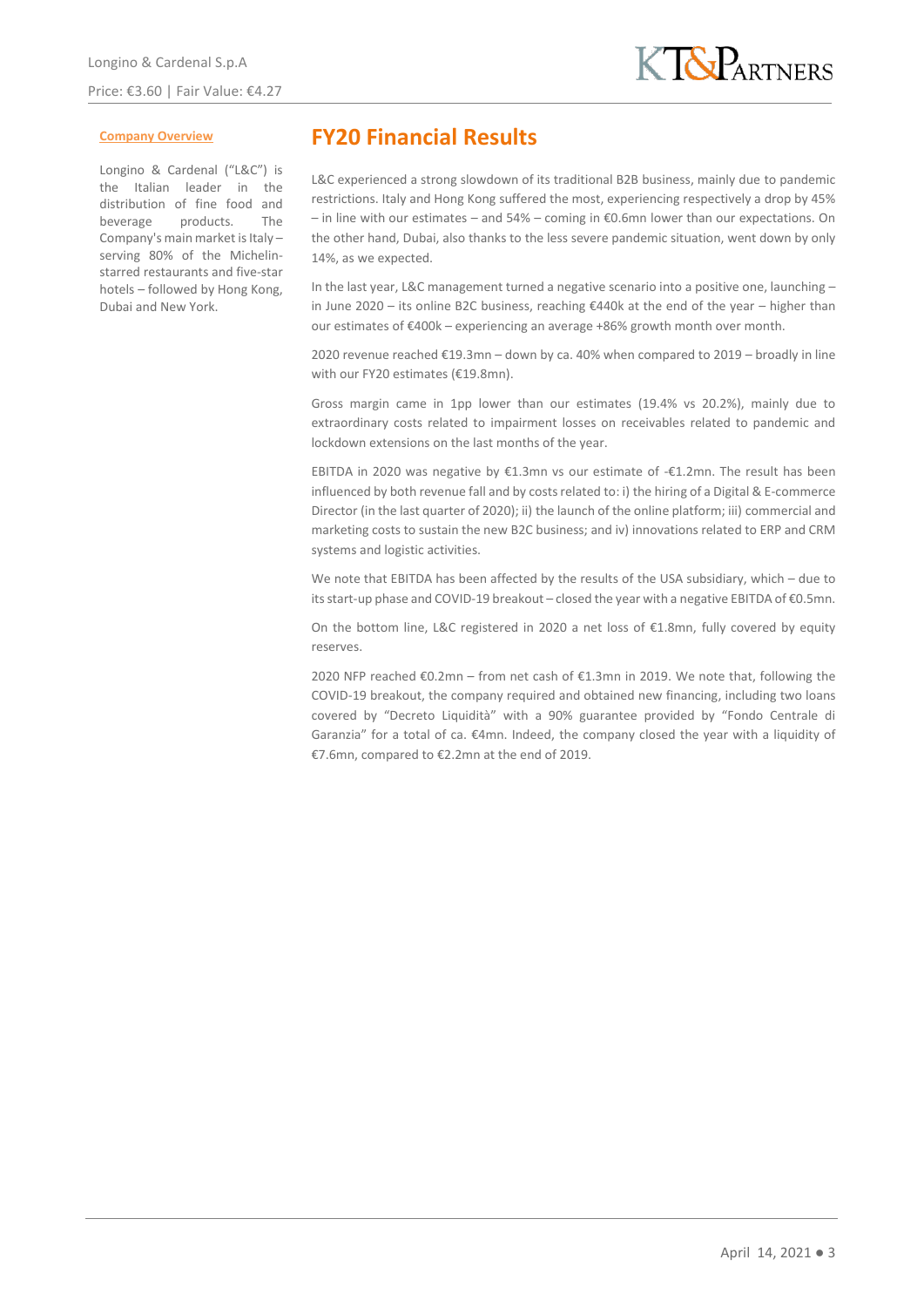#### **Company Overview**

Longino & Cardenal ("L&C") is the Italian leader in the distribution of fine food and beverage products. The Company's main market is Italy – serving 80% of the Michelinstarred restaurants and five-star hotels – followed by Hong Kong, Dubai and New York.

# **FY20 Financial Results**

L&C experienced a strong slowdown of its traditional B2B business, mainly due to pandemic restrictions. Italy and Hong Kong suffered the most, experiencing respectively a drop by 45% – in line with our estimates – and 54% – coming in €0.6mn lower than our expectations. On the other hand, Dubai, also thanks to the less severe pandemic situation, went down by only 14%, as we expected.

In the last year, L&C management turned a negative scenario into a positive one, launching – in June 2020 – its online B2C business, reaching €440k at the end of the year – higher than our estimates of €400k – experiencing an average +86% growth month over month.

2020 revenue reached €19.3mn – down by ca. 40% when compared to 2019 – broadly in line with our FY20 estimates (€19.8mn).

Gross margin came in 1pp lower than our estimates (19.4% vs 20.2%), mainly due to extraordinary costs related to impairment losses on receivables related to pandemic and lockdown extensions on the last months of the year.

EBITDA in 2020 was negative by €1.3mn vs our estimate of -€1.2mn. The result has been influenced by both revenue fall and by costs related to: i) the hiring of a Digital & E-commerce Director (in the last quarter of 2020); ii) the launch of the online platform; iii) commercial and marketing costs to sustain the new B2C business; and iv) innovations related to ERP and CRM systems and logistic activities.

We note that EBITDA has been affected by the results of the USA subsidiary, which – due to its start-up phase and COVID-19 breakout – closed the year with a negative EBITDA of €0.5mn.

On the bottom line, L&C registered in 2020 a net loss of €1.8mn, fully covered by equity reserves.

2020 NFP reached €0.2mn – from net cash of €1.3mn in 2019. We note that, following the COVID-19 breakout, the company required and obtained new financing, including two loans covered by "Decreto Liquidità" with a 90% guarantee provided by "Fondo Centrale di Garanzia" for a total of ca. €4mn. Indeed, the company closed the year with a liquidity of €7.6mn, compared to €2.2mn at the end of 2019.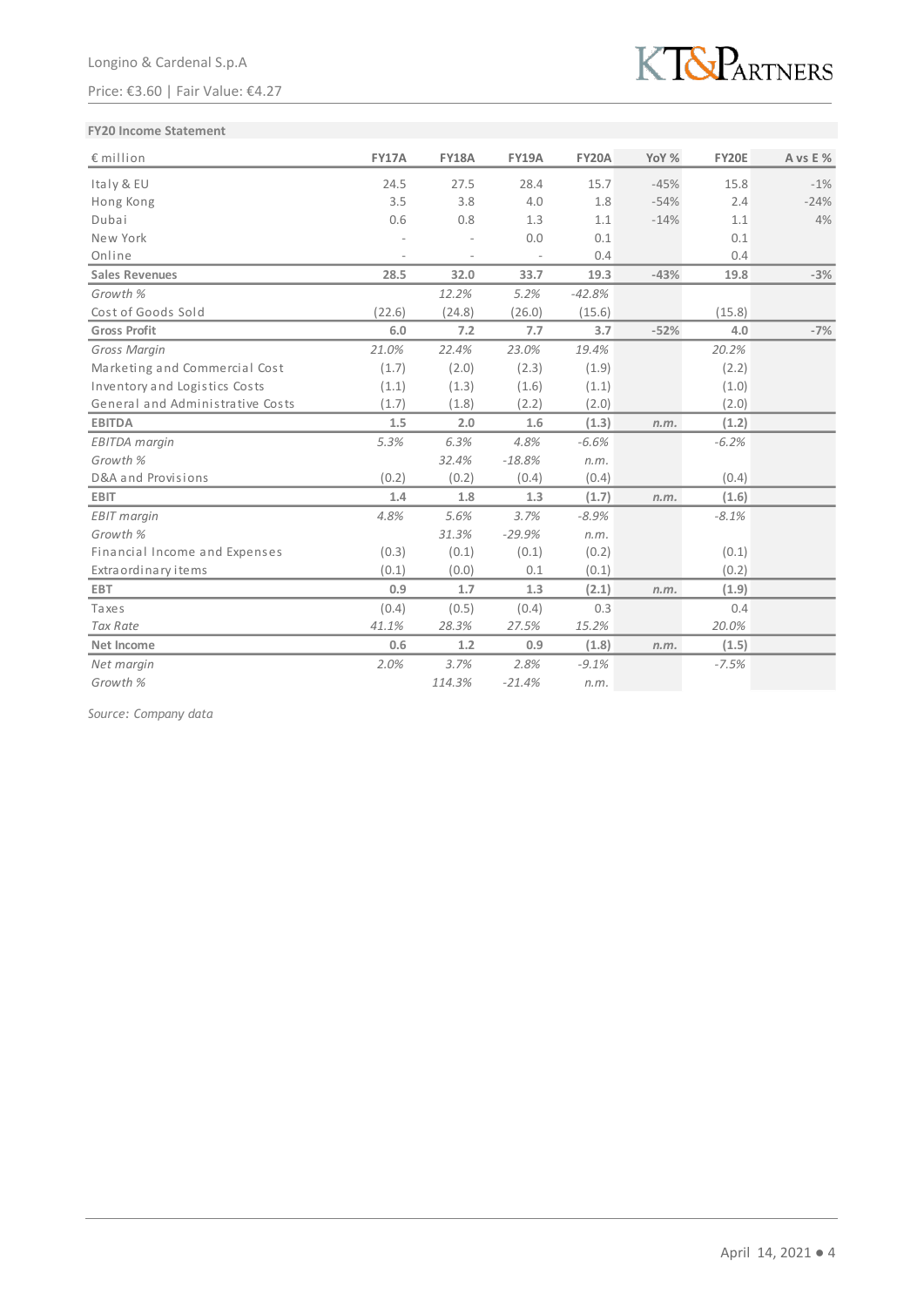### Price: €3.60 | Fair Value: €4.27



### **FY20 Income Statement**

| $\epsilon$ million               | <b>FY17A</b> | <b>FY18A</b> | <b>FY19A</b> | <b>FY20A</b> | YoY %  | <b>FY20E</b> | A vs E % |
|----------------------------------|--------------|--------------|--------------|--------------|--------|--------------|----------|
| Italy & EU                       | 24.5         | 27.5         | 28.4         | 15.7         | $-45%$ | 15.8         | $-1%$    |
| Hong Kong                        | 3.5          | 3.8          | 4.0          | 1.8          | $-54%$ | 2.4          | $-24%$   |
| Dubai                            | 0.6          | 0.8          | 1.3          | 1.1          | $-14%$ | 1.1          | 4%       |
| New York                         |              |              | 0.0          | 0.1          |        | 0.1          |          |
| Online                           |              |              |              | 0.4          |        | 0.4          |          |
| <b>Sales Revenues</b>            | 28.5         | 32.0         | 33.7         | 19.3         | $-43%$ | 19.8         | $-3%$    |
| Growth %                         |              | 12.2%        | 5.2%         | $-42.8%$     |        |              |          |
| Cost of Goods Sold               | (22.6)       | (24.8)       | (26.0)       | (15.6)       |        | (15.8)       |          |
| <b>Gross Profit</b>              | 6.0          | 7.2          | 7.7          | 3.7          | $-52%$ | 4.0          | $-7%$    |
| Gross Margin                     | 21.0%        | 22.4%        | 23.0%        | 19.4%        |        | 20.2%        |          |
| Marketing and Commercial Cost    | (1.7)        | (2.0)        | (2.3)        | (1.9)        |        | (2.2)        |          |
| Inventory and Logistics Costs    | (1.1)        | (1.3)        | (1.6)        | (1.1)        |        | (1.0)        |          |
| General and Administrative Costs | (1.7)        | (1.8)        | (2.2)        | (2.0)        |        | (2.0)        |          |
| <b>EBITDA</b>                    | 1.5          | 2.0          | 1.6          | (1.3)        | n.m.   | (1.2)        |          |
| <b>EBITDA</b> margin             | 5.3%         | 6.3%         | 4.8%         | $-6.6%$      |        | $-6.2%$      |          |
| Growth %                         |              | 32.4%        | $-18.8%$     | n.m.         |        |              |          |
| D&A and Provisions               | (0.2)        | (0.2)        | (0.4)        | (0.4)        |        | (0.4)        |          |
| <b>EBIT</b>                      | 1.4          | 1.8          | 1.3          | (1.7)        | n.m.   | (1.6)        |          |
| <b>EBIT</b> margin               | 4.8%         | 5.6%         | 3.7%         | $-8.9%$      |        | $-8.1%$      |          |
| Growth %                         |              | 31.3%        | $-29.9%$     | n.m.         |        |              |          |
| Financial Income and Expenses    | (0.3)        | (0.1)        | (0.1)        | (0.2)        |        | (0.1)        |          |
| Extra ordinary items             | (0.1)        | (0.0)        | 0.1          | (0.1)        |        | (0.2)        |          |
| <b>EBT</b>                       | 0.9          | 1.7          | 1.3          | (2.1)        | n.m.   | (1.9)        |          |
| Taxes                            | (0.4)        | (0.5)        | (0.4)        | 0.3          |        | 0.4          |          |
| <b>Tax Rate</b>                  | 41.1%        | 28.3%        | 27.5%        | 15.2%        |        | 20.0%        |          |
| Net Income                       | 0.6          | 1.2          | 0.9          | (1.8)        | n.m.   | (1.5)        |          |
| Net margin                       | 2.0%         | 3.7%         | 2.8%         | $-9.1%$      |        | $-7.5%$      |          |
| Growth %                         |              | 114.3%       | $-21.4%$     | n.m.         |        |              |          |

*Source: Company data*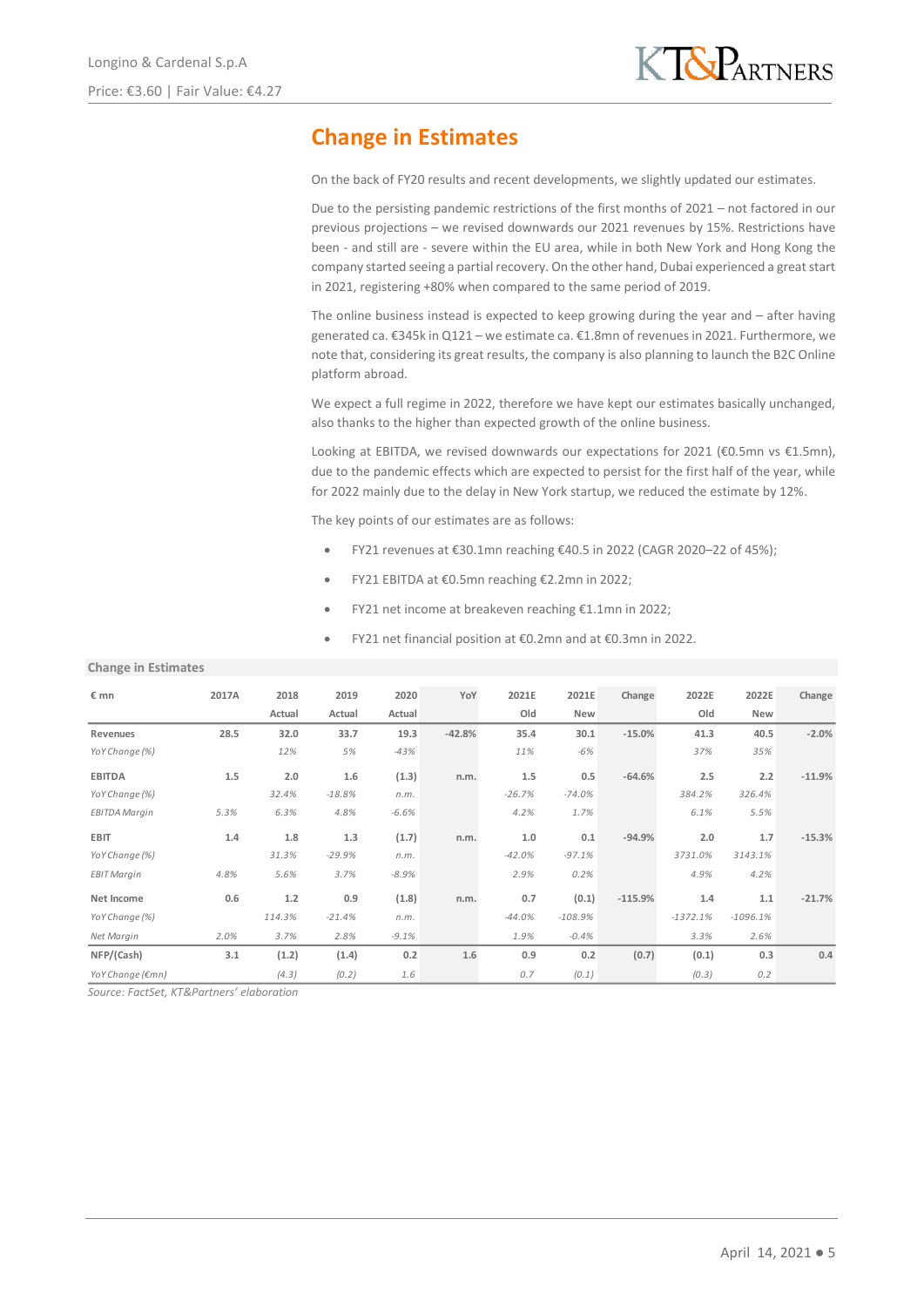# **Change in Estimates**

On the back of FY20 results and recent developments, we slightly updated our estimates.

Due to the persisting pandemic restrictions of the first months of 2021 – not factored in our previous projections – we revised downwards our 2021 revenues by 15%. Restrictions have been - and still are - severe within the EU area, while in both New York and Hong Kong the company started seeing a partial recovery. On the other hand, Dubai experienced a great start in 2021, registering +80% when compared to the same period of 2019.

The online business instead is expected to keep growing during the year and  $-$  after having generated ca. €345k in Q121 – we estimate ca. €1.8mn of revenues in 2021. Furthermore, we note that, considering its great results, the company is also planning to launch the B2C Online platform abroad.

We expect a full regime in 2022, therefore we have kept our estimates basically unchanged, also thanks to the higher than expected growth of the online business.

Looking at EBITDA, we revised downwards our expectations for 2021 (€0.5mn vs €1.5mn), due to the pandemic effects which are expected to persist for the first half of the year, while for 2022 mainly due to the delay in New York startup, we reduced the estimate by 12%.

The key points of our estimates are as follows:

- FY21 revenues at €30.1mn reaching €40.5 in 2022 (CAGR 2020–22 of 45%);
- FY21 EBITDA at €0.5mn reaching €2.2mn in 2022;
- FY21 net income at breakeven reaching €1.1mn in 2022;
- FY21 net financial position at €0.2mn and at €0.3mn in 2022.

**Change in Estimates**

| € mn                 | 2017A | 2018   | 2019     | 2020    | YoY      | 2021E    | 2021E      | Change    | 2022E      | 2022E      | Change   |
|----------------------|-------|--------|----------|---------|----------|----------|------------|-----------|------------|------------|----------|
|                      |       | Actual | Actual   | Actual  |          | Old      | <b>New</b> |           | Old        | New        |          |
| Revenues             | 28.5  | 32.0   | 33.7     | 19.3    | $-42.8%$ | 35.4     | 30.1       | $-15.0%$  | 41.3       | 40.5       | $-2.0%$  |
| YoY Change (%)       |       | 12%    | 5%       | $-43%$  |          | 11%      | $-6%$      |           | 37%        | 35%        |          |
| <b>EBITDA</b>        | 1.5   | 2.0    | 1.6      | (1.3)   | n.m.     | 1.5      | 0.5        | $-64.6%$  | 2.5        | 2.2        | $-11.9%$ |
| YoY Change (%)       |       | 32.4%  | $-18.8%$ | n.m.    |          | $-26.7%$ | $-74.0%$   |           | 384.2%     | 326.4%     |          |
| <b>EBITDA Margin</b> | 5.3%  | 6.3%   | 4.8%     | $-6.6%$ |          | 4.2%     | 1.7%       |           | 6.1%       | 5.5%       |          |
| <b>EBIT</b>          | 1.4   | 1.8    | 1.3      | (1.7)   | n.m.     | 1.0      | 0.1        | $-94.9%$  | 2.0        | 1.7        | $-15.3%$ |
| YoY Change (%)       |       | 31.3%  | $-29.9%$ | n.m.    |          | $-42.0%$ | $-97.1%$   |           | 3731.0%    | 3143.1%    |          |
| <b>EBIT Margin</b>   | 4.8%  | 5.6%   | 3.7%     | $-8.9%$ |          | 2.9%     | 0.2%       |           | 4.9%       | 4.2%       |          |
| Net Income           | 0.6   | 1.2    | 0.9      | (1.8)   | n.m.     | 0.7      | (0.1)      | $-115.9%$ | 1.4        | 1.1        | $-21.7%$ |
| YoY Change (%)       |       | 114.3% | $-21.4%$ | n.m.    |          | $-44.0%$ | $-108.9%$  |           | $-1372.1%$ | $-1096.1%$ |          |
| Net Margin           | 2.0%  | 3.7%   | 2.8%     | $-9.1%$ |          | 1.9%     | $-0.4%$    |           | 3.3%       | 2.6%       |          |
| NFP/(Cash)           | 3.1   | (1.2)  | (1.4)    | 0.2     | 1.6      | 0.9      | 0.2        | (0.7)     | (0.1)      | 0.3        | 0.4      |
| YoY Change (€mn)     |       | (4.3)  | (0.2)    | 1.6     |          | 0.7      | (0.1)      |           | (0.3)      | 0.2        |          |

*Source: FactSet, KT&Partners' elaboration*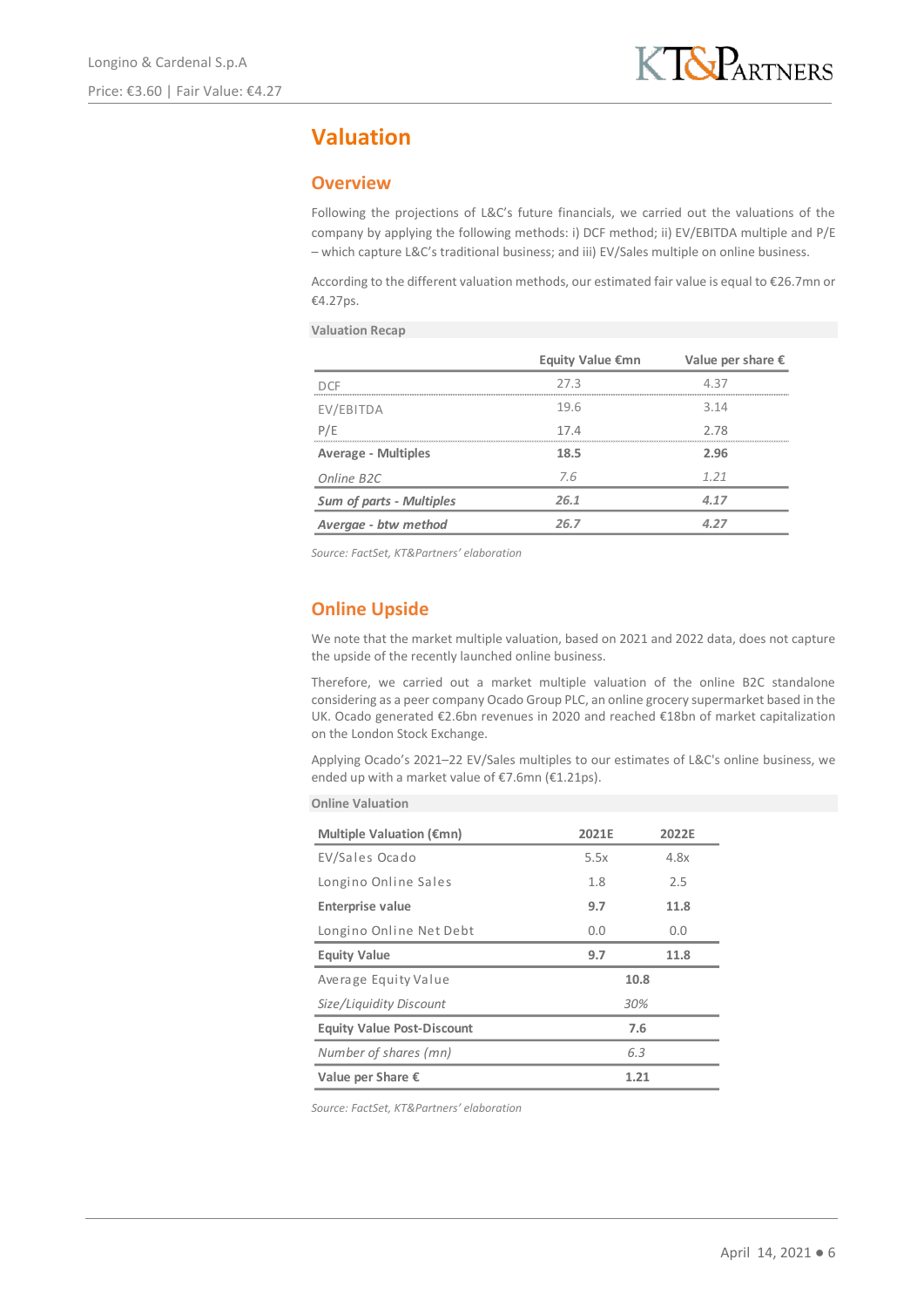# **Valuation**

## **Overview**

Following the projections of L&C's future financials, we carried out the valuations of the company by applying the following methods: i) DCF method; ii) EV/EBITDA multiple and P/E – which capture L&C's traditional business; and iii) EV/Sales multiple on online business.

According to the different valuation methods, our estimated fair value is equal to €26.7mn or €4.27ps.

**Valuation Recap**

|                                 | Equity Value €mn | Value per share $\epsilon$ |
|---------------------------------|------------------|----------------------------|
|                                 | 27.3             | 4.37                       |
| EV/EBITDA                       | 19.6             | 3.14                       |
| P/E                             | 17.4             | 2.78                       |
| <b>Average - Multiples</b>      | 18.5             | 2.96                       |
| Online B <sub>2C</sub>          | 7.6              | 1.21                       |
| <b>Sum of parts - Multiples</b> | 26.1             | 4.17                       |
| Avergae - btw method            | 26.7             | A 77                       |

*Source: FactSet, KT&Partners' elaboration*

## **Online Upside**

We note that the market multiple valuation, based on 2021 and 2022 data, does not capture the upside of the recently launched online business.

Therefore, we carried out a market multiple valuation of the online B2C standalone considering as a peer company Ocado Group PLC, an online grocery supermarket based in the UK. Ocado generated €2.6bn revenues in 2020 and reached €18bn of market capitalization on the London Stock Exchange.

Applying Ocado's 2021–22 EV/Sales multiples to our estimates of L&C's online business, we ended up with a market value of €7.6mn (€1.21ps).

| <b>Online Valuation</b> |  |
|-------------------------|--|
|                         |  |

| Multiple Valuation ( $\epsilon$ mn) | 2021E | 2022E |
|-------------------------------------|-------|-------|
| EV/Sales Ocado                      | 5.5x  | 4.8x  |
| Longino Online Sales                | 1.8   | 2.5   |
| <b>Enterprise value</b>             | 9.7   | 11.8  |
| Longino Online Net Debt             | 0.0   | 0.0   |
| <b>Equity Value</b>                 | 9.7   | 11.8  |
| Average Equity Value                |       | 10.8  |
| Size/Liquidity Discount             | 30%   |       |
| <b>Equity Value Post-Discount</b>   |       | 7.6   |
| Number of shares (mn)               | 6.3   |       |
| Value per Share $\epsilon$          | 1.21  |       |

*Source: FactSet, KT&Partners' elaboration*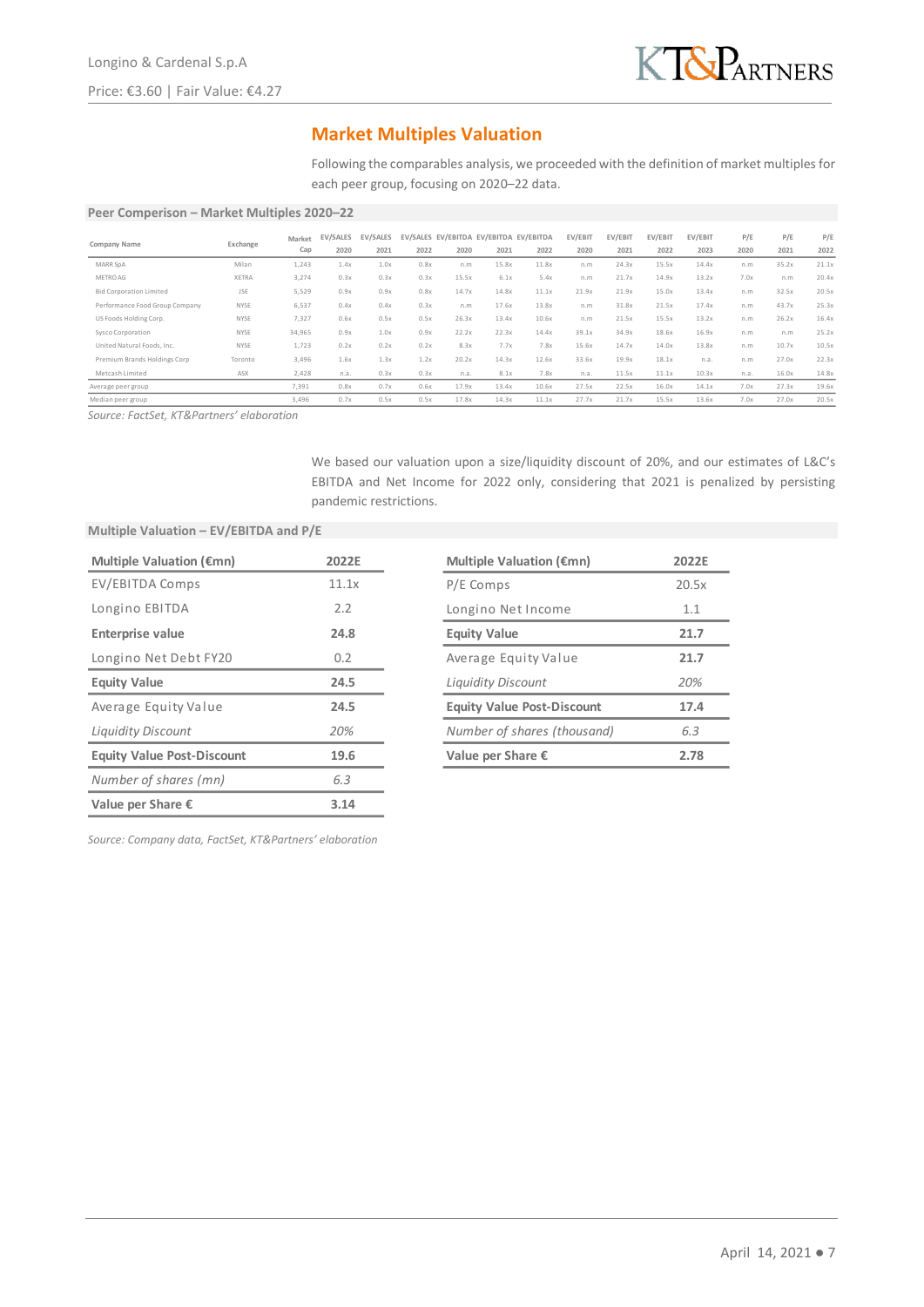

## **Market Multiples Valuation**

Following the comparables analysis, we proceeded with the definition of market multiples for each peer group, focusing on 2020–22 data.

#### **Peer Comperison – Market Multiples 2020–22**

|                                |            | Market | EV/SALES | EV/SALES |      |       | EV/SALES EV/EBITDA EV/EBITDA EV/EBITDA |       | EV/EBIT | EV/EBIT | EV/EBIT | EV/EBIT | P/E  | P/E   | P/E   |
|--------------------------------|------------|--------|----------|----------|------|-------|----------------------------------------|-------|---------|---------|---------|---------|------|-------|-------|
| Company Name                   | Exchange   | Cap    | 2020     | 2021     | 2022 | 2020  | 2021                                   | 2022  | 2020    | 2021    | 2022    | 2023    | 2020 | 2021  | 2022  |
| MARR SpA                       | Milan      | 1,243  | 1.4x     | 1.0x     | 0.8x | n.m   | 15.8x                                  | 11.8x | n.m     | 24.3x   | 15.5x   | 14.4x   | n.m  | 35.2x | 21.1x |
| METRO AG                       | XETRA      | 3,274  | 0.3x     | 0.3x     | 0.3x | 15.5x | 6.1x                                   | 5.4x  | n.m     | 21.7x   | 14.9x   | 13.2x   | 7.0x | n.m   | 20.4x |
| <b>Bid Corporation Limited</b> | <b>JSE</b> | 5,529  | 0.9x     | 0.9x     | 0.8x | 14.7x | 14.8x                                  | 11.1x | 21.9x   | 21.9x   | 15.0x   | 13.4x   | n.m  | 32.5x | 20.5x |
| Performance Food Group Company | NYSE       | 6,537  | 0.4x     | 0.4x     | 0.3x | n.m   | 17.6x                                  | 13.8x | n.m     | 31.8x   | 21.5x   | 17.4x   | n.m  | 43.7x | 25.3x |
| US Foods Holding Corp.         | NYSE       | 7,327  | 0.6x     | 0.5x     | 0.5x | 26.3x | 13.4x                                  | 10.6x | n.m     | 21.5x   | 15.5x   | 13.2x   | n.m  | 26.2x | 16.4x |
| Sysco Corporation              | NYSE       | 34,965 | 0.9x     | 1.0x     | 0.9x | 22.2x | 22.3x                                  | 14.4x | 39.1x   | 34.9x   | 18.6x   | 16.9x   | n.m  | n.m   | 25.2x |
| United Natural Foods, Inc.     | NYSE       | 1,723  | 0.2x     | 0.2x     | 0.2x | 8.3x  | 7.7x                                   | 7.8x  | 15.6x   | 14.7x   | 14.0x   | 13.8x   | n.m  | 10.7x | 10.5x |
| Premium Brands Holdings Corp   | Toronto    | 3,496  | 1.6x     | 1.3x     | 1.2x | 20.2x | 14.3x                                  | 12.6x | 33.6x   | 19.9x   | 18.1x   | n.a.    | n.m  | 27.0x | 22.3x |
| Metcash Limited                | ASX        | 2,428  | n.a.     | 0.3x     | 0.3x | n.a.  | 8.1x                                   | 7.8x  | n.a.    | 11.5x   | 11.1x   | 10.3x   | n.a. | 16.0x | 14.8x |
| Average peer group             |            | 7,391  | 0.8x     | 0.7x     | 0.6x | 17.9x | 13.4x                                  | 10.6x | 27.5x   | 22.5x   | 16.0x   | 14.1x   | 7.0x | 27.3x | 19.6x |
| Median peer group              |            | 3,496  | 0.7x     | 0.5x     | 0.5x | 17.8x | 14.3x                                  | 11.1x | 27.7x   | 21.7x   | 15.5x   | 13.6x   | 7.0x | 27.0x | 20.5x |

*Source: FactSet, KT&Partners' elaboration*

We based our valuation upon a size/liquidity discount of 20%, and our estimates of L&C's EBITDA and Net Income for 2022 only, considering that 2021 is penalized by persisting pandemic restrictions.

#### **Multiple Valuation – EV/EBITDA and P/E**

| Multiple Valuation ( $\epsilon$ mn) | 2022E |
|-------------------------------------|-------|
| EV/EBITDA Comps                     | 11.1x |
| Longino EBITDA                      | 2.2   |
| <b>Enterprise value</b>             | 24.8  |
| Longino Net Debt FY20               | 0.2   |
| <b>Equity Value</b>                 | 24.5  |
| Average Equity Value                | 24.5  |
| <b>Liquidity Discount</b>           | 20%   |
| <b>Equity Value Post-Discount</b>   | 19.6  |
| Number of shares (mn)               | 6.3   |
| Value per Share $\epsilon$          | 3.14  |

| <b>Multiple Valuation (€mn)</b>   | 2022F |
|-----------------------------------|-------|
| P/E Comps                         | 20.5x |
| Longino Net Income                | 1.1   |
| <b>Equity Value</b>               | 21.7  |
| Average Equity Value              | 21.7  |
| Liquidity Discount                | 20%   |
| <b>Equity Value Post-Discount</b> | 17.4  |
| Number of shares (thousand)       | 6.3   |
| Value per Share $\epsilon$        | 2.78  |
|                                   |       |

*Source: Company data, FactSet, KT&Partners' elaboration*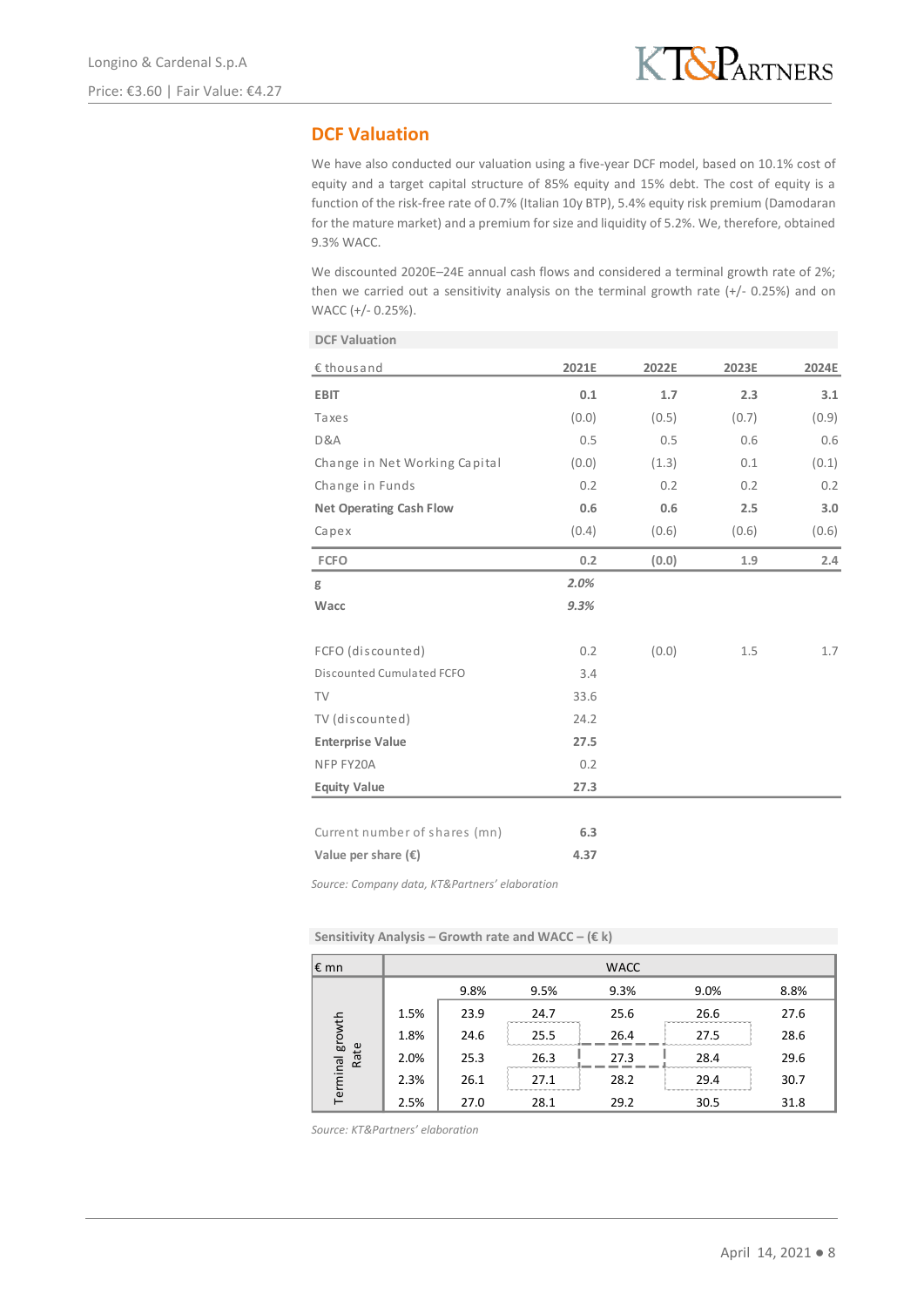## **DCF Valuation**

**DCF Valuation**

We have also conducted our valuation using a five-year DCF model, based on 10.1% cost of equity and a target capital structure of 85% equity and 15% debt. The cost of equity is a function of the risk-free rate of 0.7% (Italian 10y BTP), 5.4% equity risk premium (Damodaran for the mature market) and a premium for size and liquidity of 5.2%. We, therefore, obtained 9.3% WACC.

We discounted 2020E-24E annual cash flows and considered a terminal growth rate of 2%; then we carried out a sensitivity analysis on the terminal growth rate  $(+/- 0.25%)$  and on WACC (+/- 0.25%).

| PUI TUINUIVIUI                 |       |       |       |       |
|--------------------------------|-------|-------|-------|-------|
| € thous and                    | 2021E | 2022E | 2023E | 2024E |
| <b>EBIT</b>                    | 0.1   | 1.7   | 2.3   | 3.1   |
| Taxes                          | (0.0) | (0.5) | (0.7) | (0.9) |
| D&A                            | 0.5   | 0.5   | 0.6   | 0.6   |
| Change in Net Working Capital  | (0.0) | (1.3) | 0.1   | (0.1) |
| Change in Funds                | 0.2   | 0.2   | 0.2   | 0.2   |
| <b>Net Operating Cash Flow</b> | 0.6   | 0.6   | 2.5   | 3.0   |
| Capex                          | (0.4) | (0.6) | (0.6) | (0.6) |
| <b>FCFO</b>                    | 0.2   | (0.0) | 1.9   | 2.4   |
| g                              | 2.0%  |       |       |       |
| Wacc                           | 9.3%  |       |       |       |
| FCFO (discounted)              | 0.2   | (0.0) | 1.5   | 1.7   |
| Discounted Cumulated FCFO      | 3.4   |       |       |       |
| <b>TV</b>                      | 33.6  |       |       |       |
| TV (discounted)                | 24.2  |       |       |       |
| <b>Enterprise Value</b>        | 27.5  |       |       |       |
| NFP FY20A                      | 0.2   |       |       |       |
| <b>Equity Value</b>            | 27.3  |       |       |       |
|                                |       |       |       |       |
| Current number of shares (mn)  | 6.3   |       |       |       |
| Value per share $(\epsilon)$   | 4.37  |       |       |       |
|                                |       |       |       |       |

*Source: Company data, KT&Partners' elaboration*

**Sensitivity Analysis – Growth rate and WACC – (€ k)**

| $\epsilon$ mn           |      |      |      | <b>WACC</b> |      |      |
|-------------------------|------|------|------|-------------|------|------|
|                         |      | 9.8% | 9.5% | 9.3%        | 9.0% | 8.8% |
| Terminal growth<br>Rate | 1.5% | 23.9 | 24.7 | 25.6        | 26.6 | 27.6 |
|                         | 1.8% | 24.6 | 25.5 | 26.4        | 27.5 | 28.6 |
|                         | 2.0% | 25.3 | 26.3 | 27.3        | 28.4 | 29.6 |
|                         | 2.3% | 26.1 | 27.1 | 28.2        | 29.4 | 30.7 |
|                         | 2.5% | 27.0 | 28.1 | 29.2        | 30.5 | 31.8 |

*Source: KT&Partners' elaboration*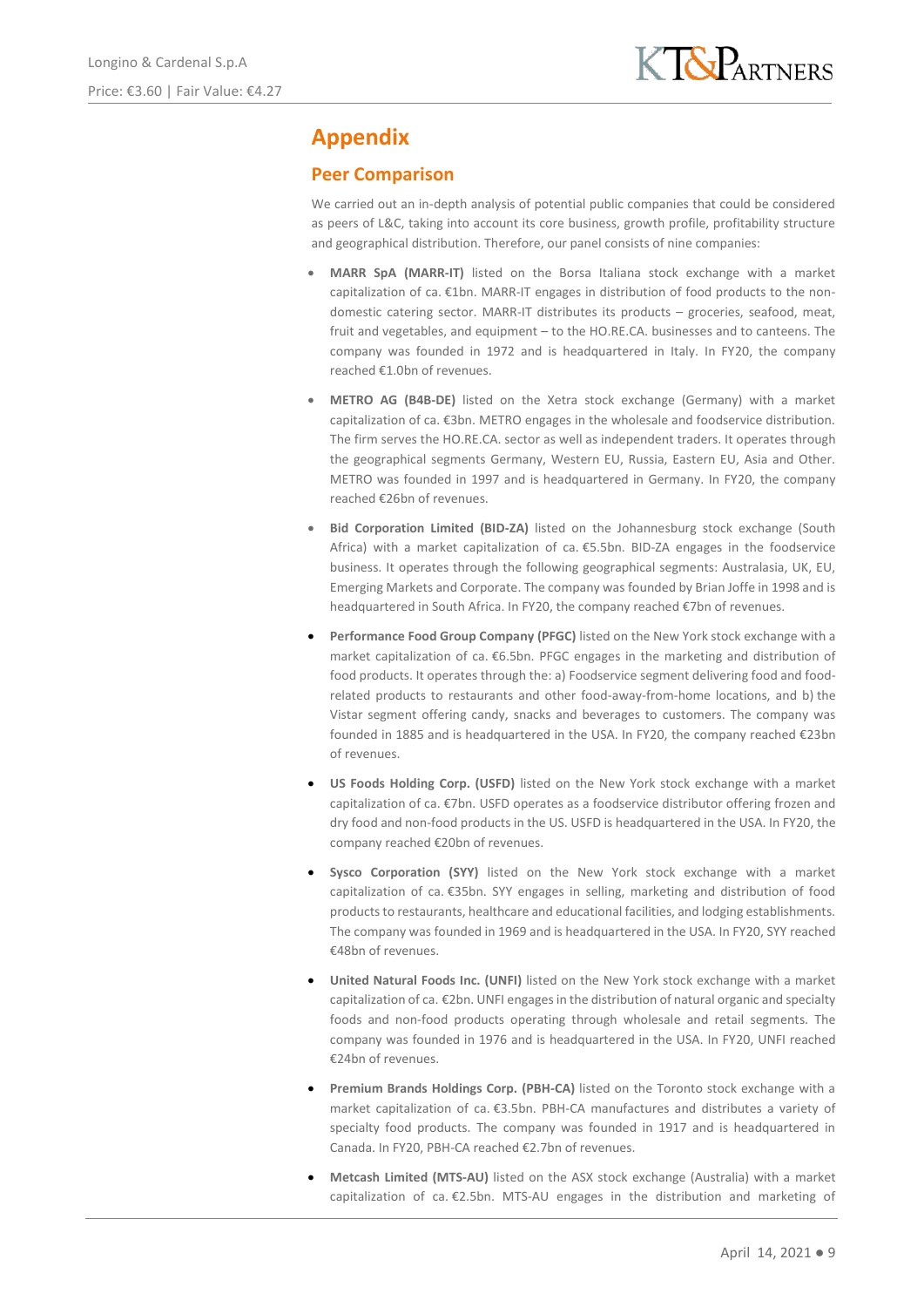# **Appendix**

## **Peer Comparison**

We carried out an in-depth analysis of potential public companies that could be considered as peers of L&C, taking into account its core business, growth profile, profitability structure and geographical distribution. Therefore, our panel consists of nine companies:

- **MARR SpA (MARR-IT)** listed on the Borsa Italiana stock exchange with a market capitalization of ca. €1bn. MARR-IT engages in distribution of food products to the nondomestic catering sector. MARR-IT distributes its products – groceries, seafood, meat, fruit and vegetables, and equipment – to the HO.RE.CA. businesses and to canteens. The company was founded in 1972 and is headquartered in Italy. In FY20, the company reached €1.0bn of revenues.
- **METRO AG (B4B-DE)** listed on the Xetra stock exchange (Germany) with a market capitalization of ca. €3bn. METRO engages in the wholesale and foodservice distribution. The firm serves the HO.RE.CA. sector as well as independent traders. It operates through the geographical segments Germany, Western EU, Russia, Eastern EU, Asia and Other. METRO was founded in 1997 and is headquartered in Germany. In FY20, the company reached €26bn of revenues.
- **Bid Corporation Limited (BID-ZA)** listed on the Johannesburg stock exchange (South Africa) with a market capitalization of ca. €5.5bn. BID-ZA engages in the foodservice business. It operates through the following geographical segments: Australasia, UK, EU, Emerging Markets and Corporate. The company was founded by Brian Joffe in 1998 and is headquartered in South Africa. In FY20, the company reached €7bn of revenues.
- **Performance Food Group Company (PFGC)** listed on the New York stock exchange with a market capitalization of ca. €6.5bn. PFGC engages in the marketing and distribution of food products. It operates through the: a) Foodservice segment delivering food and foodrelated products to restaurants and other food-away-from-home locations, and b) the Vistar segment offering candy, snacks and beverages to customers. The company was founded in 1885 and is headquartered in the USA. In FY20, the company reached €23bn of revenues.
- **US Foods Holding Corp. (USFD)** listed on the New York stock exchange with a market capitalization of ca. €7bn. USFD operates as a foodservice distributor offering frozen and dry food and non-food products in the US. USFD is headquartered in the USA. In FY20, the company reached €20bn of revenues.
- **Sysco Corporation (SYY)** listed on the New York stock exchange with a market capitalization of ca. €35bn. SYY engages in selling, marketing and distribution of food products to restaurants, healthcare and educational facilities, and lodging establishments. The company was founded in 1969 and is headquartered in the USA. In FY20, SYY reached €48bn of revenues.
- **United Natural Foods Inc. (UNFI)** listed on the New York stock exchange with a market capitalization of ca. €2bn. UNFI engages in the distribution of natural organic and specialty foods and non-food products operating through wholesale and retail segments. The company was founded in 1976 and is headquartered in the USA. In FY20, UNFI reached €24bn of revenues.
- **Premium Brands Holdings Corp. (PBH-CA)** listed on the Toronto stock exchange with a market capitalization of ca. €3.5bn. PBH-CA manufactures and distributes a variety of specialty food products. The company was founded in 1917 and is headquartered in Canada. In FY20, PBH-CA reached €2.7bn of revenues.
- **Metcash Limited (MTS-AU)** listed on the ASX stock exchange (Australia) with a market capitalization of ca. €2.5bn. MTS-AU engages in the distribution and marketing of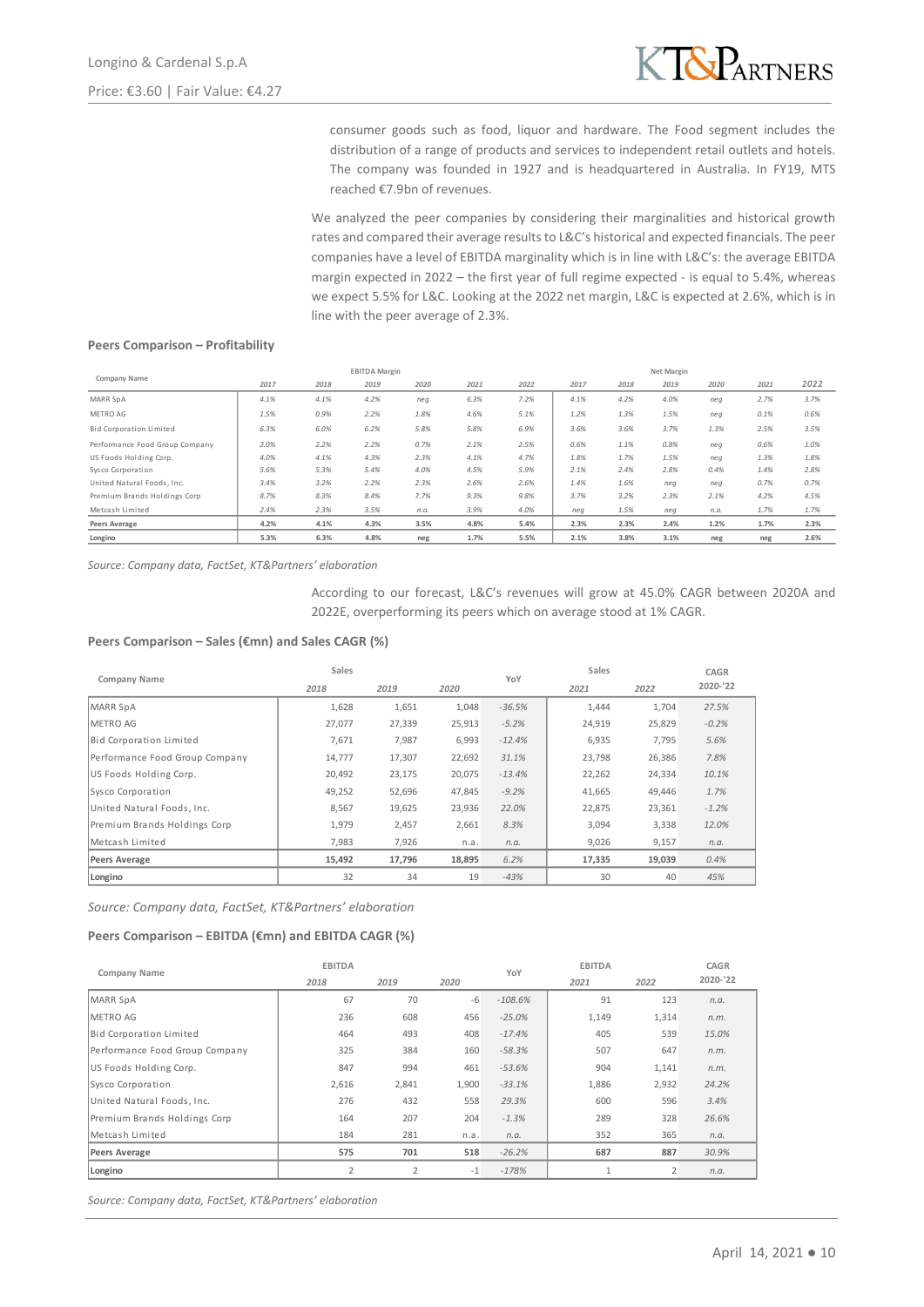

consumer goods such as food, liquor and hardware. The Food segment includes the distribution of a range of products and services to independent retail outlets and hotels. The company was founded in 1927 and is headquartered in Australia. In FY19, MTS reached €7.9bn of revenues.

We analyzed the peer companies by considering their marginalities and historical growth rates and compared their average results to L&C's historical and expected financials. The peer companies have a level of EBITDA marginality which is in line with L&C's: the average EBITDA margin expected in 2022 – the first year of full regime expected - is equal to 5.4%, whereas we expect 5.5% for L&C. Looking at the 2022 net margin, L&C is expected at 2.6%, which is in line with the peer average of 2.3%.

### **Peers Comparison – Profitability**

|                                | <b>EBITDA Margin</b> |      |      |      |      | Net Margin |      |      |      |      |      |      |
|--------------------------------|----------------------|------|------|------|------|------------|------|------|------|------|------|------|
| Company Name                   | 2017                 | 2018 | 2019 | 2020 | 2021 | 2022       | 2017 | 2018 | 2019 | 2020 | 2021 | 2022 |
| MARR SpA                       | 4.1%                 | 4.1% | 4.2% | neq  | 6.3% | 7.2%       | 4.1% | 4.2% | 4.0% | neq  | 2.7% | 3.7% |
| METRO AG                       | 1.5%                 | 0.9% | 2.2% | 1.8% | 4.6% | 5.1%       | 1.2% | 1.3% | 1.5% | nea  | 0.1% | 0.6% |
| Bid Corporation Limited        | 6.3%                 | 6.0% | 6.2% | 5.8% | 5.8% | 6.9%       | 3.6% | 3.6% | 3.7% | 1.3% | 2.5% | 3.5% |
| Performance Food Group Company | 2.0%                 | 2.2% | 2.2% | 0.7% | 2.1% | 2.5%       | 0.6% | 1.1% | 0.8% | neq  | 0.6% | 1.0% |
| US Foods Holding Corp.         | 4.0%                 | 4.1% | 4.3% | 2.3% | 4.1% | 4.7%       | 1.8% | 1.7% | 1.5% | nea  | 1.3% | 1.8% |
| Sysco Corporation              | 5.6%                 | 5.3% | 5.4% | 4.0% | 4.5% | 5.9%       | 2.1% | 2.4% | 2.8% | 0.4% | 1.4% | 2.8% |
| United Natural Foods, Inc.     | 3.4%                 | 3.2% | 2.2% | 2.3% | 2.6% | 2.6%       | 1.4% | 1.6% | neg  | nea  | 0.7% | 0.7% |
| Premium Brands Holdings Corp   | 8.7%                 | 8.3% | 8.4% | 7.7% | 9.3% | 9.8%       | 3.7% | 3.2% | 2.3% | 2.1% | 4.2% | 4.5% |
| Metcash Limited                | 2.4%                 | 2.3% | 3.5% | n.a. | 3.9% | 4.0%       | neg  | 1.5% | neg  | n.a. | 1.7% | 1.7% |
| Peers Average                  | 4.2%                 | 4.1% | 4.3% | 3.5% | 4.8% | 5.4%       | 2.3% | 2.3% | 2.4% | 1.2% | 1.7% | 2.3% |
| Longino                        | 5.3%                 | 6.3% | 4.8% | neg  | 1.7% | 5.5%       | 2.1% | 3.8% | 3.1% | neg  | neg  | 2.6% |

According to our forecast, L&C's revenues will grow at 45.0% CAGR between 2020A and 2022E, overperforming its peers which on average stood at 1% CAGR.

#### **Peers Comparison – Sales (€mn) and Sales CAGR (%)**

|                                                                                                                                       |              |                       | <b>EBITDA</b> Margin         |              |              |                                                                                                                                                | Net Margin                   |                         |
|---------------------------------------------------------------------------------------------------------------------------------------|--------------|-----------------------|------------------------------|--------------|--------------|------------------------------------------------------------------------------------------------------------------------------------------------|------------------------------|-------------------------|
| Company Name                                                                                                                          | 2017         | 2018                  | 2019<br>2020                 | 2021         | 2022         | 2017                                                                                                                                           | 2018<br>2019                 | 2020                    |
| MARR SpA                                                                                                                              | 4.1%         | 4.1%                  | 4.2%<br>neg                  | 6.3%         | 7.2%         | 4.1%                                                                                                                                           | 4.2%<br>4.0%                 | neg                     |
| METRO AG                                                                                                                              | 1.5%         | 0.9%                  | 2.2%<br>1.8%                 | 4.6%         | 5.1%         | 1.2%                                                                                                                                           | 1.3%<br>1.5%                 | neg                     |
| Bid Corporation Limited                                                                                                               | 6.3%         | 6.0%                  | 6.2%<br>5.8%                 | 5.8%         | 6.9%         | 3.6%                                                                                                                                           | 3.6%<br>3.7%                 | 1.3%                    |
| Performance Food Group Company                                                                                                        | 2.0%         | 2.2%                  | 2.2%<br>0.7%                 | 2.1%         | 2.5%         | 0.6%                                                                                                                                           | 1.1%<br>0.8%                 | neg                     |
| US Foods Holding Corp.<br>Sysco Corporation                                                                                           | 4.0%<br>5.6% | 4.1%<br>5.3%          | 4.3%<br>2.3%<br>5.4%<br>4.0% | 4.1%<br>4.5% | 4.7%<br>5.9% | 1.8%<br>2.1%                                                                                                                                   | 1.7%<br>1.5%<br>2.4%<br>2.8% | neg<br>0.4%             |
| United Natural Foods, Inc.                                                                                                            | 3.4%         | 3.2%                  | 2.2%<br>2.3%                 | 2.6%         | 2.6%         | 1.4%                                                                                                                                           | 1.6%<br>neg                  | neg                     |
| Premium Brands Holdings Corp                                                                                                          | 8.7%         | 8.3%                  | 8.4%<br>7.7%                 | 9.3%         | 9.8%         | 3.7%                                                                                                                                           | 3.2%<br>2.3%                 | 2.1%                    |
| Metcash Limited                                                                                                                       | 2.4%         | 2.3%                  | 3.5%<br>n.a.                 | 3.9%         | 4.0%         | neg                                                                                                                                            | 1.5%<br>neg                  | n.a.                    |
| Peers Average<br>Longino                                                                                                              | 4.2%<br>5.3% | 4.1%<br>6.3%          | 3.5%<br>4.3%<br>4.8%<br>neg  | 4.8%<br>1.7% | 5.4%<br>5.5% | 2.3%<br>2.1%                                                                                                                                   | 2.3%<br>2.4%<br>3.8%<br>3.1% | 1.2%<br>neg             |
| Source: Company data, FactSet, KT&Partners' elaboration                                                                               |              |                       |                              |              |              | According to our forecast, L&C's revenues will grow at 45.0% CAGR betwee<br>2022E, overperforming its peers which on average stood at 1% CAGR. |                              |                         |
| Peers Comparison – Sales (€mn) and Sales CAGR (%)<br>Company Name                                                                     |              | Sales<br>2018         | 2019                         | 2020         | YoY          | Sales<br>2021                                                                                                                                  | 2022                         | CAGR<br>2020-'22        |
| <b>MARR SpA</b>                                                                                                                       |              | 1,628                 | 1,651                        | 1,048        | $-36.5%$     | 1,444                                                                                                                                          | 1,704                        | 27.5%                   |
| METRO AG                                                                                                                              |              |                       |                              |              | $-5.2%$      |                                                                                                                                                |                              |                         |
|                                                                                                                                       |              | 27,077                | 27,339                       | 25,913       |              | 24,919                                                                                                                                         | 25,829                       | $-0.2%$                 |
| Bid Corporation Limited                                                                                                               |              | 7,671                 | 7,987                        | 6,993        | $-12.4%$     | 6,935                                                                                                                                          | 7,795                        | 5.6%                    |
| Performance Food Group Company                                                                                                        |              | 14,777                | 17,307                       | 22,692       | 31.1%        | 23,798                                                                                                                                         | 26,386                       | 7.8%                    |
| US Foods Holding Corp.                                                                                                                |              | 20,492                | 23,175                       | 20,075       | $-13.4%$     | 22,262                                                                                                                                         | 24,334                       | 10.1%                   |
| Sysco Corporation                                                                                                                     | 49,252       | 52,696                | 47,845                       | $-9.2%$      | 41,665       | 49,446                                                                                                                                         | 1.7%                         |                         |
| United Natural Foods, Inc.                                                                                                            |              | 8,567                 | 19,625                       | 23,936       | 22.0%        | 22,875                                                                                                                                         | 23,361                       | $-1.2%$                 |
| Premium Brands Holdings Corp                                                                                                          |              | 1,979                 | 2,457                        | 2,661        | 8.3%         | 3,094                                                                                                                                          | 3,338                        | 12.0%                   |
| Metcash Limited                                                                                                                       |              | 7,983                 | 7,926                        | n.a.         | n.a.         | 9,026                                                                                                                                          | 9,157                        | n.a.                    |
| <b>Peers Average</b>                                                                                                                  |              | 15,492                | 17,796                       | 18,895       | 6.2%         | 17,335                                                                                                                                         | 19,039                       | 0.4%                    |
| Longino                                                                                                                               |              | 32                    | 34                           | 19           | $-43%$       | 30                                                                                                                                             | 40                           | 45%                     |
|                                                                                                                                       |              |                       |                              |              |              |                                                                                                                                                |                              |                         |
| Source: Company data, FactSet, KT&Partners' elaboration<br>Peers Comparison - EBITDA (€mn) and EBITDA CAGR (%)<br><b>Company Name</b> |              | <b>EBITDA</b><br>2018 | 2019                         | 2020         | YoY          | <b>EBITDA</b><br>2021                                                                                                                          | 2022                         | <b>CAGR</b><br>2020-'22 |
| MARR SpA                                                                                                                              |              | 67                    | 70                           | -6           | $-108.6%$    | 91                                                                                                                                             | 123                          | n.a.                    |
| METRO AG                                                                                                                              |              | 236                   | 608                          | 456          | $-25.0%$     | 1,149                                                                                                                                          | 1,314                        | n.m.                    |
| Bid Corporation Limited                                                                                                               |              | 464                   | 493                          | 408          | $-17.4%$     | 405                                                                                                                                            | 539                          | 15.0%                   |
| Performance Food Group Company                                                                                                        |              | 325                   | 384                          | 160          | $-58.3%$     | 507                                                                                                                                            | 647                          | n.m.                    |
| US Foods Holding Corp.                                                                                                                |              | 847                   | 994                          | 461          | $-53.6%$     | 904                                                                                                                                            | 1,141                        | n.m.                    |
| Sysco Corporation                                                                                                                     |              | 2,616                 | 2,841                        | 1,900        | $-33.1%$     | 1,886                                                                                                                                          | 2,932                        | 24.2%                   |
| United Natural Foods, Inc.                                                                                                            |              | 276                   | 432                          | 558          | 29.3%        | 600                                                                                                                                            | 596                          | 3.4%                    |
| Premium Brands Holdings Corp                                                                                                          |              | 164                   | 207                          | 204          | $-1.3%$      | 289                                                                                                                                            | 328                          | 26.6%                   |
| Metcash Limited                                                                                                                       |              | 184                   | 281                          | n.a.         | n.a.         | 352                                                                                                                                            | 365                          | n.a.                    |
| <b>Peers Average</b>                                                                                                                  |              | 575                   | 701                          | 518          | $-26.2%$     | 687                                                                                                                                            | 887                          | 30.9%                   |
| Longino                                                                                                                               |              | $\overline{2}$        | $\overline{2}$               | $-1$         | $-178%$      | $\mathbf{1}$                                                                                                                                   | $\overline{2}$               | n.a.                    |

#### **Peers Comparison – EBITDA (€mn) and EBITDA CAGR (%)**

| Company Name                   | <b>EBITDA</b>  |                | YoY   | <b>EBITDA</b> |              | CAGR           |          |
|--------------------------------|----------------|----------------|-------|---------------|--------------|----------------|----------|
|                                | 2018<br>2019   |                | 2020  |               | 2021         | 2022           | 2020-'22 |
| MARR SpA                       | 67             | 70             | $-6$  | $-108.6%$     | 91           | 123            | n.a.     |
| <b>METRO AG</b>                | 236            | 608            | 456   | $-25.0%$      | 1,149        | 1,314          | n.m.     |
| Bid Corporation Limited        | 464            | 493            | 408   | $-17.4%$      | 405          | 539            | 15.0%    |
| Performance Food Group Company | 325            | 384            | 160   | $-58.3%$      | 507          | 647            | n.m.     |
| US Foods Holding Corp.         | 847            | 994            | 461   | $-53.6%$      | 904          | 1,141          | n.m.     |
| Sysco Corporation              | 2,616          | 2,841          | 1,900 | $-33.1%$      | 1,886        | 2,932          | 24.2%    |
| United Natural Foods, Inc.     | 276            | 432            | 558   | 29.3%         | 600          | 596            | 3.4%     |
| Premium Brands Holdings Corp   | 164            | 207            | 204   | $-1.3%$       | 289          | 328            | 26.6%    |
| Metcash Limited                | 184            | 281            | n.a.  | n.a.          | 352          | 365            | n.a.     |
| Peers Average                  | 575            | 701            | 518   | $-26.2%$      | 687          | 887            | 30.9%    |
| Longino                        | $\overline{2}$ | $\overline{2}$ | $-1$  | $-178%$       | $\mathbf{1}$ | $\overline{2}$ | n.a.     |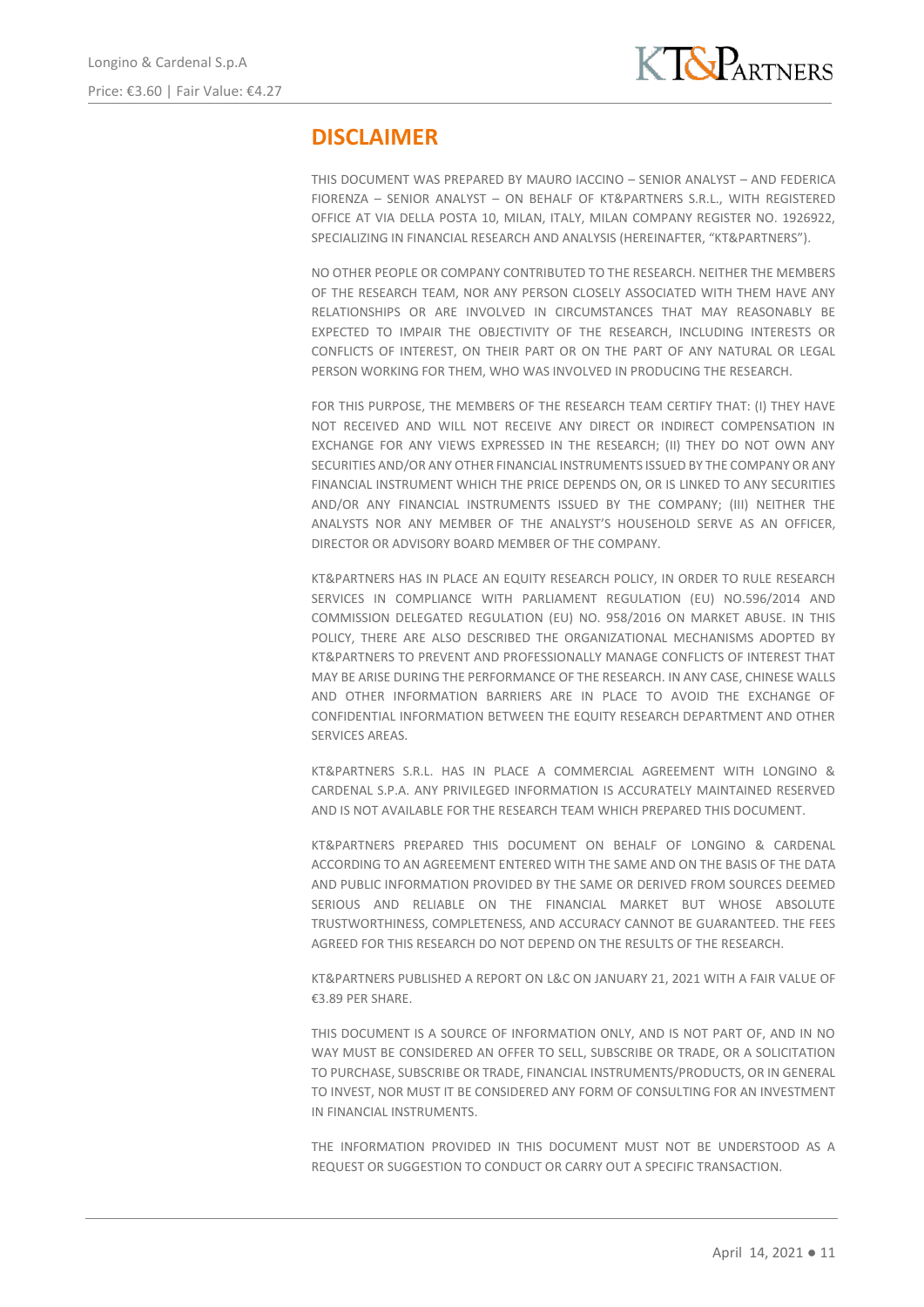# **DISCLAIMER**

THIS DOCUMENT WAS PREPARED BY MAURO IACCINO – SENIOR ANALYST – AND FEDERICA FIORENZA – SENIOR ANALYST – ON BEHALF OF KT&PARTNERS S.R.L., WITH REGISTERED OFFICE AT VIA DELLA POSTA 10, MILAN, ITALY, MILAN COMPANY REGISTER NO. 1926922, SPECIALIZING IN FINANCIAL RESEARCH AND ANALYSIS (HEREINAFTER, "KT&PARTNERS").

NO OTHER PEOPLE OR COMPANY CONTRIBUTED TO THE RESEARCH. NEITHER THE MEMBERS OF THE RESEARCH TEAM, NOR ANY PERSON CLOSELY ASSOCIATED WITH THEM HAVE ANY RELATIONSHIPS OR ARE INVOLVED IN CIRCUMSTANCES THAT MAY REASONABLY BE EXPECTED TO IMPAIR THE OBJECTIVITY OF THE RESEARCH, INCLUDING INTERESTS OR CONFLICTS OF INTEREST, ON THEIR PART OR ON THE PART OF ANY NATURAL OR LEGAL PERSON WORKING FOR THEM, WHO WAS INVOLVED IN PRODUCING THE RESEARCH.

FOR THIS PURPOSE, THE MEMBERS OF THE RESEARCH TEAM CERTIFY THAT: (I) THEY HAVE NOT RECEIVED AND WILL NOT RECEIVE ANY DIRECT OR INDIRECT COMPENSATION IN EXCHANGE FOR ANY VIEWS EXPRESSED IN THE RESEARCH; (II) THEY DO NOT OWN ANY SECURITIES AND/OR ANY OTHER FINANCIAL INSTRUMENTS ISSUED BY THE COMPANY OR ANY FINANCIAL INSTRUMENT WHICH THE PRICE DEPENDS ON, OR IS LINKED TO ANY SECURITIES AND/OR ANY FINANCIAL INSTRUMENTS ISSUED BY THE COMPANY; (III) NEITHER THE ANALYSTS NOR ANY MEMBER OF THE ANALYST'S HOUSEHOLD SERVE AS AN OFFICER, DIRECTOR OR ADVISORY BOARD MEMBER OF THE COMPANY.

KT&PARTNERS HAS IN PLACE AN EQUITY RESEARCH POLICY, IN ORDER TO RULE RESEARCH SERVICES IN COMPLIANCE WITH PARLIAMENT REGULATION (EU) NO.596/2014 AND COMMISSION DELEGATED REGULATION (EU) NO. 958/2016 ON MARKET ABUSE. IN THIS POLICY, THERE ARE ALSO DESCRIBED THE ORGANIZATIONAL MECHANISMS ADOPTED BY KT&PARTNERS TO PREVENT AND PROFESSIONALLY MANAGE CONFLICTS OF INTEREST THAT MAY BE ARISE DURING THE PERFORMANCE OF THE RESEARCH. IN ANY CASE, CHINESE WALLS AND OTHER INFORMATION BARRIERS ARE IN PLACE TO AVOID THE EXCHANGE OF CONFIDENTIAL INFORMATION BETWEEN THE EQUITY RESEARCH DEPARTMENT AND OTHER SERVICES AREAS.

KT&PARTNERS S.R.L. HAS IN PLACE A COMMERCIAL AGREEMENT WITH LONGINO & CARDENAL S.P.A. ANY PRIVILEGED INFORMATION IS ACCURATELY MAINTAINED RESERVED AND IS NOT AVAILABLE FOR THE RESEARCH TEAM WHICH PREPARED THIS DOCUMENT.

KT&PARTNERS PREPARED THIS DOCUMENT ON BEHALF OF LONGINO & CARDENAL ACCORDING TO AN AGREEMENT ENTERED WITH THE SAME AND ON THE BASIS OF THE DATA AND PUBLIC INFORMATION PROVIDED BY THE SAME OR DERIVED FROM SOURCES DEEMED SERIOUS AND RELIABLE ON THE FINANCIAL MARKET BUT WHOSE ABSOLUTE TRUSTWORTHINESS, COMPLETENESS, AND ACCURACY CANNOT BE GUARANTEED. THE FEES AGREED FOR THIS RESEARCH DO NOT DEPEND ON THE RESULTS OF THE RESEARCH.

KT&PARTNERS PUBLISHED A REPORT ON L&C ON JANUARY 21, 2021 WITH A FAIR VALUE OF €3.89 PER SHARE.

THIS DOCUMENT IS A SOURCE OF INFORMATION ONLY, AND IS NOT PART OF, AND IN NO WAY MUST BE CONSIDERED AN OFFER TO SELL, SUBSCRIBE OR TRADE, OR A SOLICITATION TO PURCHASE, SUBSCRIBE OR TRADE, FINANCIAL INSTRUMENTS/PRODUCTS, OR IN GENERAL TO INVEST, NOR MUST IT BE CONSIDERED ANY FORM OF CONSULTING FOR AN INVESTMENT IN FINANCIAL INSTRUMENTS.

THE INFORMATION PROVIDED IN THIS DOCUMENT MUST NOT BE UNDERSTOOD AS A REQUEST OR SUGGESTION TO CONDUCT OR CARRY OUT A SPECIFIC TRANSACTION.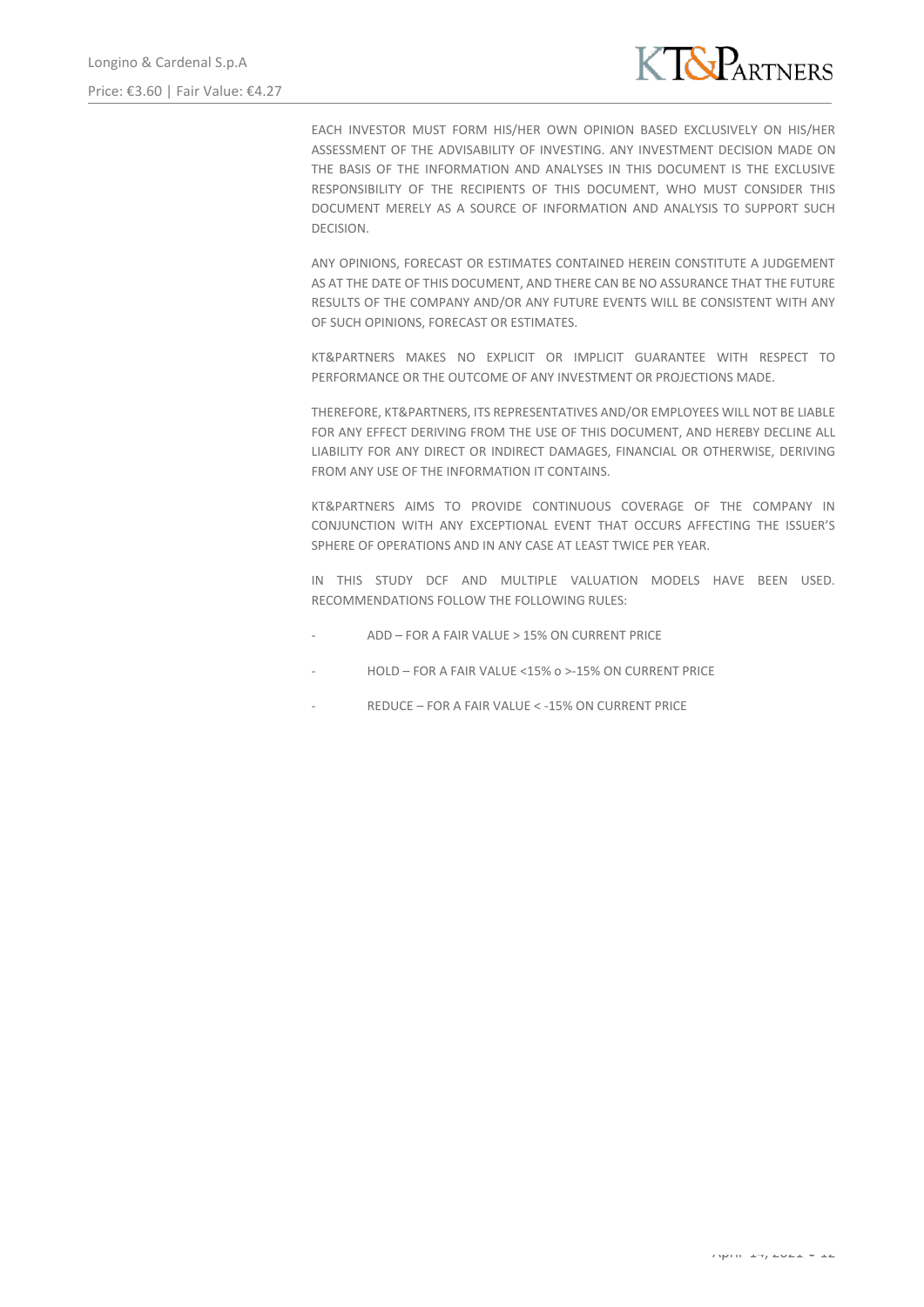

EACH INVESTOR MUST FORM HIS/HER OWN OPINION BASED EXCLUSIVELY ON HIS/HER ASSESSMENT OF THE ADVISABILITY OF INVESTING. ANY INVESTMENT DECISION MADE ON THE BASIS OF THE INFORMATION AND ANALYSES IN THIS DOCUMENT IS THE EXCLUSIVE RESPONSIBILITY OF THE RECIPIENTS OF THIS DOCUMENT, WHO MUST CONSIDER THIS DOCUMENT MERELY AS A SOURCE OF INFORMATION AND ANALYSIS TO SUPPORT SUCH DECISION.

ANY OPINIONS, FORECAST OR ESTIMATES CONTAINED HEREIN CONSTITUTE A JUDGEMENT AS AT THE DATE OF THIS DOCUMENT, AND THERE CAN BE NO ASSURANCE THAT THE FUTURE RESULTS OF THE COMPANY AND/OR ANY FUTURE EVENTS WILL BE CONSISTENT WITH ANY OF SUCH OPINIONS, FORECAST OR ESTIMATES.

KT&PARTNERS MAKES NO EXPLICIT OR IMPLICIT GUARANTEE WITH RESPECT TO PERFORMANCE OR THE OUTCOME OF ANY INVESTMENT OR PROJECTIONS MADE.

THEREFORE, KT&PARTNERS, ITS REPRESENTATIVES AND/OR EMPLOYEES WILL NOT BE LIABLE FOR ANY EFFECT DERIVING FROM THE USE OF THIS DOCUMENT, AND HEREBY DECLINE ALL LIABILITY FOR ANY DIRECT OR INDIRECT DAMAGES, FINANCIAL OR OTHERWISE, DERIVING FROM ANY USE OF THE INFORMATION IT CONTAINS.

KT&PARTNERS AIMS TO PROVIDE CONTINUOUS COVERAGE OF THE COMPANY IN CONJUNCTION WITH ANY EXCEPTIONAL EVENT THAT OCCURS AFFECTING THE ISSUER'S SPHERE OF OPERATIONS AND IN ANY CASE AT LEAST TWICE PER YEAR.

IN THIS STUDY DCF AND MULTIPLE VALUATION MODELS HAVE BEEN USED. RECOMMENDATIONS FOLLOW THE FOLLOWING RULES:

- ADD FOR A FAIR VALUE > 15% ON CURRENT PRICE
- HOLD FOR A FAIR VALUE <15% o >-15% ON CURRENT PRICE
- REDUCE FOR A FAIR VALUE < 15% ON CURRENT PRICE